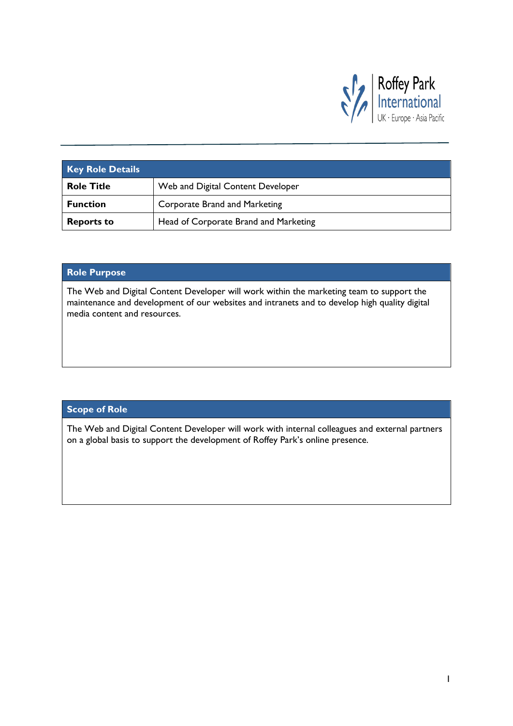

| <b>Key Role Details</b> |                                       |
|-------------------------|---------------------------------------|
| <b>Role Title</b>       | Web and Digital Content Developer     |
| <b>Function</b>         | Corporate Brand and Marketing         |
| <b>Reports to</b>       | Head of Corporate Brand and Marketing |

## **Role Purpose**

The Web and Digital Content Developer will work within the marketing team to support the maintenance and development of our websites and intranets and to develop high quality digital media content and resources.

### **Scope of Role**

The Web and Digital Content Developer will work with internal colleagues and external partners on a global basis to support the development of Roffey Park's online presence.